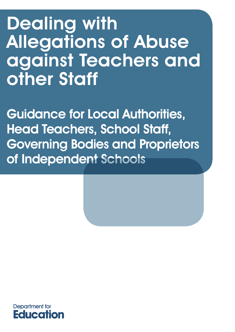# Dealing with Allegations of Abuse against Teachers and other Staff

Guidance for Local Authorities, Head Teachers, School Staff, Governing Bodies and Proprietors of Independent Schools

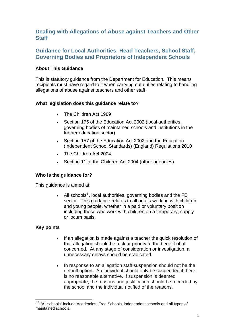## **Dealing with Allegations of Abuse against Teachers and Other Staff**

## **Guidance for Local Authorities, Head Teachers, School Staff, Governing Bodies and Proprietors of Independent Schools**

## **About This Guidance**

This is statutory guidance from the Department for Education. This means recipients must have regard to it when carrying out duties relating to handling allegations of abuse against teachers and other staff.

## **What legislation does this guidance relate to?**

- The Children Act 1989
- Section 175 of the Education Act 2002 (local authorities, governing bodies of maintained schools and institutions in the further education sector)
- Section 157 of the Education Act 2002 and the Education (Independent School Standards) (England) Regulations 2010
- The Children Act 2004
- Section 11 of the Children Act 2004 (other agencies).

## **Who is the guidance for?**

This guidance is aimed at:

• All schools<sup>[1](#page-1-0)</sup>, local authorities, governing bodies and the FE sector. This guidance relates to all adults working with children and young people, whether in a paid or voluntary position including those who work with children on a temporary, supply or locum basis.

## **Key points**

- If an allegation is made against a teacher the quick resolution of that allegation should be a clear priority to the benefit of all concerned. At any stage of consideration or investigation, all unnecessary delays should be eradicated.
- In response to an allegation staff suspension should not be the default option. An individual should only be suspended if there is no reasonable alternative. If suspension is deemed appropriate, the reasons and justification should be recorded by the school and the individual notified of the reasons.

<span id="page-1-0"></span><sup>1</sup>  $11$  "All schools" include Academies, Free Schools, independent schools and all types of maintained schools.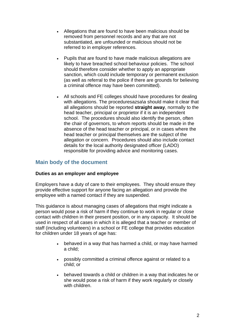- Allegations that are found to have been malicious should be removed from personnel records and any that are not substantiated, are unfounded or malicious should not be referred to in employer references.
- Pupils that are found to have made malicious allegations are likely to have breached school behaviour policies. The school should therefore consider whether to apply an appropriate sanction, which could include temporary or permanent exclusion (as well as referral to the police if there are grounds for believing a criminal offence may have been committed).
- All schools and FE colleges should have procedures for dealing with allegations. The proceduresazsa\a should make it clear that all allegations should be reported **straight away**, normally to the head teacher, principal or proprietor if it is an independent school. The procedures should also identify the person, often the chair of governors, to whom reports should be made in the absence of the head teacher or principal, or in cases where the head teacher or principal themselves are the subject of the allegation or concern. Procedures should also include contact details for the local authority designated officer (LADO) responsible for providing advice and monitoring cases.

## **Main body of the document**

## **Duties as an employer and employee**

Employers have a duty of care to their employees. They should ensure they provide effective support for anyone facing an allegation and provide the employee with a named contact if they are suspended.

This guidance is about managing cases of allegations that might indicate a person would pose a risk of harm if they continue to work in regular or close contact with children in their present position, or in any capacity. It should be used in respect of all cases in which it is alleged that a teacher or member of staff (including volunteers) in a school or FE college that provides education for children under 18 years of age has:

- behaved in a way that has harmed a child, or may have harmed a child;
- possibly committed a criminal offence against or related to a child; or
- behaved towards a child or children in a way that indicates he or she would pose a risk of harm if they work regularly or closely with children.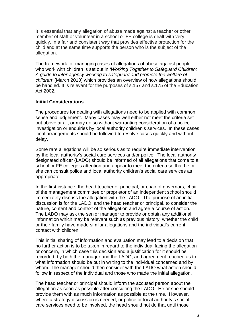It is essential that any allegation of abuse made against a teacher or other member of staff or volunteer in a school or FE college is dealt with very quickly, in a fair and consistent way that provides effective protection for the child and at the same time supports the person who is the subject of the allegation.

The framework for managing cases of allegations of abuse against people who work with children is set out in *'Working Together to Safeguard Children: A guide to inter-agency working to safeguard and promote the welfare of children'* (March 2010) which provides an overview of how allegations should be handled. It is relevant for the purposes of s.157 and s.175 of the Education Act 2002.

## **Initial Considerations**

The procedures for dealing with allegations need to be applied with common sense and judgement. Many cases may well either not meet the criteria set out above at all, or may do so without warranting consideration of a police investigation or enquiries by local authority children's services. In these cases local arrangements should be followed to resolve cases quickly and without delay.

Some rare allegations will be so serious as to require immediate intervention by the local authority's social care services and/or police. The local authority designated officer (LADO) should be informed of all allegations that come to a school or FE college's attention and appear to meet the criteria so that he or she can consult police and local authority children's social care services as appropriate.

In the first instance, the head teacher or principal, or chair of governors, chair of the management committee or proprietor of an independent school should immediately discuss the allegation with the LADO. The purpose of an initial discussion is for the LADO, and the head teacher or principal, to consider the nature, content and context of the allegation and agree a course of action. The LADO may ask the senior manager to provide or obtain any additional information which may be relevant such as previous history, whether the child or their family have made similar allegations and the individual's current contact with children.

This initial sharing of information and evaluation may lead to a decision that no further action is to be taken in regard to the individual facing the allegation or concern, in which case this decision and a justification for it should be recorded, by both the manager and the LADO, and agreement reached as to what information should be put in writing to the individual concerned and by whom. The manager should then consider with the LADO what action should follow in respect of the individual and those who made the initial allegation.

The head teacher or principal should inform the accused person about the allegation as soon as possible after consulting the LADO. He or she should provide them with as much information as possible at the time. However, where a strategy discussion is needed, or police or local authority's social care services need to be involved, the head should not do that until those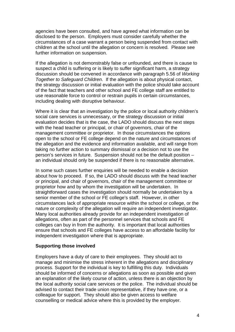agencies have been consulted, and have agreed what information can be disclosed to the person. Employers must consider carefully whether the circumstances of a case warrant a person being suspended from contact with children at the school until the allegation or concern is resolved. Please see further information on suspension.

If the allegation is not demonstrably false or unfounded, and there is cause to suspect a child is suffering or is likely to suffer significant harm, a strategy discussion should be convened in accordance with paragraph 5.56 of *Working Together to Safeguard Children*. If the allegation is about physical contact, the strategy discussion or initial evaluation with the police should take account of the fact that teachers and other school and FE college staff are entitled to use reasonable force to control or restrain pupils in certain circumstances, including dealing with disruptive behaviour.

Where it is clear that an investigation by the police or local authority children's social care services is unnecessary, or the strategy discussion or initial evaluation decides that is the case, the LADO should discuss the next steps with the head teacher or principal, or chair of governors, chair of the management committee or proprietor. In those circumstances the options open to the school or FE college depend on the nature and circumstances of the allegation and the evidence and information available, and will range from taking no further action to summary dismissal or a decision not to use the person's services in future. Suspension should not be the default position – an individual should only be suspended if there is no reasonable alternative.

In some such cases further enquiries will be needed to enable a decision about how to proceed. If so, the LADO should discuss with the head teacher or principal, and chair of governors, chair of the management committee or proprietor how and by whom the investigation will be undertaken. In straightforward cases the investigation should normally be undertaken by a senior member of the school or FE college's staff. However, in other circumstances lack of appropriate resource within the school or college, or the nature or complexity of the allegation will require an independent investigator. Many local authorities already provide for an independent investigation of allegations, often as part of the personnel services that schools and FE colleges can buy in from the authority. It is important that local authorities ensure that schools and FE colleges have access to an affordable facility for independent investigation where that is appropriate.

## **Supporting those involved**

Employers have a duty of care to their employees. They should act to manage and minimise the stress inherent in the allegations and disciplinary process. Support for the individual is key to fulfilling this duty. Individuals should be informed of concerns or allegations as soon as possible and given an explanation of the likely course of action, unless there is an objection by the local authority social care services or the police. The individual should be advised to contact their trade union representative, if they have one, or a colleague for support. They should also be given access to welfare counselling or medical advice where this is provided by the employer.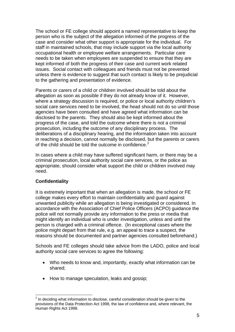The school or FE college should appoint a named representative to keep the person who is the subject of the allegation informed of the progress of the case and consider what other support is appropriate for the individual. For staff in maintained schools, that may include support via the local authority occupational health or employee welfare arrangements. Particular care needs to be taken when employees are suspended to ensure that they are kept informed of both the progress of their case and current work related issues. Social contact with colleagues and friends must not be prevented unless there is evidence to suggest that such contact is likely to be prejudicial to the gathering and presentation of evidence.

Parents or carers of a child or children involved should be told about the allegation as soon as possible if they do not already know of it. However, where a strategy discussion is required, or police or local authority children's social care services need to be involved, the head should not do so until those agencies have been consulted and have agreed what information can be disclosed to the parents. They should also be kept informed about the progress of the case, and told the outcome where there is not a criminal prosecution, including the outcome of any disciplinary process. The deliberations of a disciplinary hearing, and the information taken into account in reaching a decision, cannot normally be disclosed, but the parents or carers of the child should be told the outcome in confidence.<sup>[2](#page-5-0)</sup>

In cases where a child may have suffered significant harm, or there may be a criminal prosecution, local authority social care services, or the police as appropriate, should consider what support the child or children involved may need.

## **Confidentiality**

It is extremely important that when an allegation is made, the school or FE college makes every effort to maintain confidentiality and guard against unwanted publicity while an allegation is being investigated or considered. In accordance with the Association of Chief Police Officers (ACPO) guidance the police will not normally provide any information to the press or media that might identify an individual who is under investigation, unless and until the person is charged with a criminal offence. (In exceptional cases where the police might depart from that rule, e.g. an appeal to trace a suspect, the reasons should be documented and partner agencies consulted beforehand.)

Schools and FE colleges should take advice from the LADO, police and local authority social care services to agree the following:

- Who needs to know and, importantly, exactly what information can be shared;
- How to manage speculation, leaks and gossip;

<span id="page-5-0"></span><sup>1</sup>  $2$  In deciding what information to disclose, careful consideration should be given to the provisions of the Data Protection Act 1998, the law of confidence and, where relevant, the Human Rights Act 1998.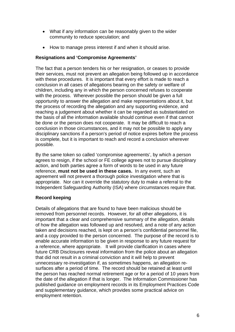- What if any information can be reasonably given to the wider community to reduce speculation; and
- How to manage press interest if and when it should arise.

## **Resignations and 'Compromise Agreements'**

The fact that a person tenders his or her resignation, or ceases to provide their services, must not prevent an allegation being followed up in accordance with these procedures. It is important that every effort is made to reach a conclusion in all cases of allegations bearing on the safety or welfare of children, including any in which the person concerned refuses to cooperate with the process. Wherever possible the person should be given a full opportunity to answer the allegation and make representations about it, but the process of recording the allegation and any supporting evidence, and reaching a judgement about whether it can be regarded as substantiated on the basis of all the information available should continue even if that cannot be done or the person does not cooperate. It may be difficult to reach a conclusion in those circumstances, and it may not be possible to apply any disciplinary sanctions if a person's period of notice expires before the process is complete, but it is important to reach and record a conclusion wherever possible.

By the same token so called 'compromise agreements', by which a person agrees to resign, if the school or FE college agrees not to pursue disciplinary action, and both parties agree a form of words to be used in any future reference, **must not be used in these cases.** In any event, such an agreement will not prevent a thorough police investigation where that is appropriate. Nor can it override the statutory duty to make a referral to the Independent Safeguarding Authority (ISA) where circumstances require that.

## **Record keeping**

Details of allegations that are found to have been malicious should be removed from personnel records. However, for all other allegations, it is important that a clear and comprehensive summary of the allegation, details of how the allegation was followed up and resolved, and a note of any action taken and decisions reached, is kept on a person's confidential personnel file, and a copy provided to the person concerned. The purpose of the record is to enable accurate information to be given in response to any future request for a reference, where appropriate. It will provide clarification in cases where future CRB Disclosures reveal information from the police about an allegation that did not result in a criminal conviction and it will help to prevent unnecessary re-investigation if, as sometimes happens, an allegation resurfaces after a period of time. The record should be retained at least until the person has reached normal retirement age or for a period of 10 years from the date of the allegation if that is longer. The Information Commissioner has published guidance on employment records in its Employment Practices Code and supplementary guidance, which provides some practical advice on employment retention.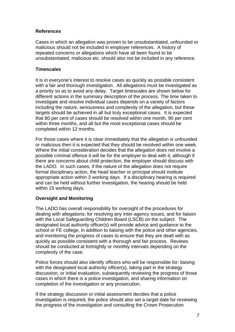## **References**

Cases in which an allegation was proven to be unsubstantiated, unfounded or malicious should not be included in employer references. A history of repeated concerns or allegations which have all been found to be unsubstantiated, malicious etc. should also not be included in any reference.

## **Timescales**

It is in everyone's interest to resolve cases as quickly as possible consistent with a fair and thorough investigation. All allegations must be investigated as a priority so as to avoid any delay. Target timescales are shown below for different actions in the summary description of the process. The time taken to investigate and resolve individual cases depends on a variety of factors including the nature, seriousness and complexity of the allegation, but these targets should be achieved in all but truly exceptional cases. It is expected that 80 per cent of cases should be resolved within one month, 90 per cent within three months, and all but the most exceptional cases should be completed within 12 months.

For those cases where it is clear immediately that the allegation is unfounded or malicious then it is expected that they should be resolved within one week. Where the initial consideration decides that the allegation does not involve a possible criminal offence it will be for the employer to deal with it, although if there are concerns about child protection, the employer should discuss with the LADO. In such cases, if the nature of the allegation does not require formal disciplinary action, the head teacher or principal should institute appropriate action within 3 working days. If a disciplinary hearing is required and can be held without further investigation, the hearing should be held within 15 working days.

## **Oversight and Monitoring**

The LADO has overall responsibility for oversight of the procedures for dealing with allegations; for resolving any inter-agency issues, and for liaison with the Local Safeguarding Children Board (LSCB) on the subject. The designated local authority officer(s) will provide advice and guidance to the school or FE college, in addition to liaising with the police and other agencies, and monitoring the progress of cases to ensure that they are dealt with as quickly as possible consistent with a thorough and fair process. Reviews should be conducted at fortnightly or monthly intervals depending on the complexity of the case.

Police forces should also identify officers who will be responsible for: liaising with the designated local authority officer(s), taking part in the strategy discussion, or initial evaluation, subsequently reviewing the progress of those cases in which there is a police investigation, and sharing information on completion of the investigation or any prosecution.

If the strategy discussion or initial assessment decides that a police investigation is required, the police should also set a target date for reviewing the progress of the investigation and consulting the Crown Prosecution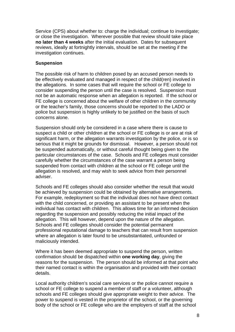Service (CPS) about whether to: charge the individual; continue to investigate; or close the investigation. Wherever possible that review should take place **no later than 4 weeks** after the initial evaluation. Dates for subsequent reviews, ideally at fortnightly intervals, should be set at the meeting if the investigation continues.

## **Suspension**

The possible risk of harm to children posed by an accused person needs to be effectively evaluated and managed in respect of the child(ren) involved in the allegations. In some cases that will require the school or FE college to consider suspending the person until the case is resolved. Suspension must not be an automatic response when an allegation is reported. If the school or FE college is concerned about the welfare of other children in the community or the teacher's family, those concerns should be reported to the LADO or police but suspension is highly unlikely to be justified on the basis of such concerns alone.

Suspension should only be considered in a case where there is cause to suspect a child or other children at the school or FE college is or are at risk of significant harm, or the allegation warrants investigation by the police, or is so serious that it might be grounds for dismissal. However, a person should not be suspended automatically, or without careful thought being given to the particular circumstances of the case. Schools and FE colleges must consider carefully whether the circumstances of the case warrant a person being suspended from contact with children at the school or FE college until the allegation is resolved, and may wish to seek advice from their personnel adviser.

Schools and FE colleges should also consider whether the result that would be achieved by suspension could be obtained by alternative arrangements. For example, redeployment so that the individual does not have direct contact with the child concerned, or providing an assistant to be present when the individual has contact with children. This allows time for an informed decision regarding the suspension and possibly reducing the initial impact of the allegation. This will however, depend upon the nature of the allegation. Schools and FE colleges should consider the potential permanent professional reputational damage to teachers that can result from suspension where an allegation is later found to be unsubstantiated, unfounded or maliciously intended.

Where it has been deemed appropriate to suspend the person, written confirmation should be dispatched within **one working day**, giving the reasons for the suspension. The person should be informed at that point who their named contact is within the organisation and provided with their contact details.

Local authority children's social care services or the police cannot require a school or FE college to suspend a member of staff or a volunteer, although schools and FE colleges should give appropriate weight to their advice. The power to suspend is vested in the proprietor of the school, or the governing body of the school or FE college who are the employers of staff at the school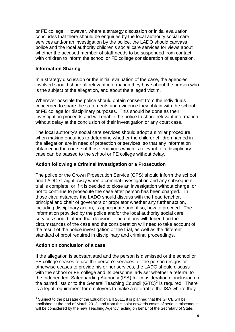or FE college. However, where a strategy discussion or initial evaluation concludes that there should be enquiries by the local authority social care services and/or an investigation by the police, the LADO should canvass police and the local authority children's social care services for views about whether the accused member of staff needs to be suspended from contact with children to inform the school or FE college consideration of suspension.

## **Information Sharing**

In a strategy discussion or the initial evaluation of the case, the agencies involved should share all relevant information they have about the person who is the subject of the allegation, and about the alleged victim.

Wherever possible the police should obtain consent from the individuals concerned to share the statements and evidence they obtain with the school or FE college for disciplinary purposes. This should be done as their investigation proceeds and will enable the police to share relevant information without delay at the conclusion of their investigation or any court case.

The local authority's social care services should adopt a similar procedure when making enquiries to determine whether the child or children named in the allegation are in need of protection or services, so that any information obtained in the course of those enquiries which is relevant to a disciplinary case can be passed to the school or FE college without delay.

## **Action following a Criminal Investigation or a Prosecution**

The police or the Crown Prosecution Service (CPS) should inform the school and LADO straight away when a criminal investigation and any subsequent trial is complete, or if it is decided to close an investigation without charge, or not to continue to prosecute the case after person has been charged. In those circumstances the LADO should discuss with the head teacher, principal and chair of governors or proprietor whether any further action, including disciplinary action, is appropriate and, if so, how to proceed. The information provided by the police and/or the local authority social care services should inform that decision. The options will depend on the circumstances of the case and the consideration will need to take account of the result of the police investigation or the trial, as well as the different standard of proof required in disciplinary and criminal proceedings.

## **Action on conclusion of a case**

1

If the allegation is substantiated and the person is dismissed or the school or FE college ceases to use the person's services, or the person resigns or otherwise ceases to provide his or her services, the LADO should discuss with the school or FE college and its personnel adviser whether a referral to the Independent Safeguarding Authority (ISA) for consideration of inclusion on the barred lists or to the General Teaching Council (GTC) $3$  is required. There is a legal requirement for employers to make a referral to the ISA where they

<span id="page-9-0"></span> $3$  Subject to the passage of the Education Bill 2011, it is planned that the GTCE will be abolished at the end of March 2012, and from this point onwards cases of serious misconduct will be considered by the new Teaching Agency, acting on behalf of the Secretary of State.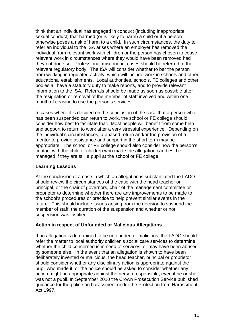think that an individual has engaged in conduct (including inappropriate sexual conduct) that harmed (or is likely to harm) a child or if a person otherwise poses a risk of harm to a child. In such circumstances, the duty to refer an individual to the ISA arises where an employer has removed the individual from relevant work with children or the person has chosen to cease relevant work in circumstances where they would have been removed had they not done so. Professional misconduct cases should be referred to the relevant regulatory body. The ISA will consider whether to bar the person from working in regulated activity, which will include work in schools and other educational establishments. Local authorities, schools, FE colleges and other bodies all have a statutory duty to make reports, and to provide relevant information to the ISA. Referrals should be made as soon as possible after the resignation or removal of the member of staff involved and within one month of ceasing to use the person's services.

In cases where it is decided on the conclusion of the case that a person who has been suspended can return to work, the school or FE college should consider how best to facilitate that. Most people will benefit from some help and support to return to work after a very stressful experience. Depending on the individual's circumstances, a phased return and/or the provision of a mentor to provide assistance and support in the short term may be appropriate. The school or FE college should also consider how the person's contact with the child or children who made the allegation can best be managed if they are still a pupil at the school or FE college.

## **Learning Lessons**

At the conclusion of a case in which an allegation is substantiated the LADO should review the circumstances of the case with the head teacher or principal, or the chair of governors, chair of the management committee or proprietor to determine whether there are any improvements to be made to the school's procedures or practice to help prevent similar events in the future. This should include issues arising from the decision to suspend the member of staff, the duration of the suspension and whether or not suspension was justified.

## **Action in respect of Unfounded or Malicious Allegations**

If an allegation is determined to be unfounded or malicious, the LADO should refer the matter to local authority children's social care services to determine whether the child concerned is in need of services, or may have been abused by someone else. In the event that an allegation is shown to have been deliberately invented or malicious, the head teacher, principal or proprietor should consider whether any disciplinary action is appropriate against the pupil who made it, or the police should be asked to consider whether any action might be appropriate against the person responsible, even if he or she was not a pupil. In September 2010 the Crown Prosecution Service published guidance for the police on harassment under the Protection from Harassment Act 1997.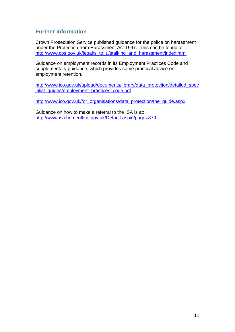## **Further Information**

Crown Prosecution Service published guidance for the police on harassment under the Protection from Harassment Act 1997. This can be found at [http://www.cps.gov.uk/legal/s\\_to\\_u/stalking\\_and\\_harassment/index.html](http://www.cps.gov.uk/legal/s_to_u/stalking_and_harassment/index.html) 

Guidance on employment records in its Employment Practices Code and supplementary guidance, which provides some practical advice on employment retention.

[http://www.ico.gov.uk/upload/documents/library/data\\_protection/detailed\\_spec](http://www.ico.gov.uk/upload/documents/library/data_protection/detailed_specialist_guides/employment_practices_code.pdf) ialist\_quides/employment\_practices\_code.pdf

[http://www.ico.gov.uk/for\\_organisations/data\\_protection/the\\_guide.aspx](http://www.ico.gov.uk/for_organisations/data_protection/the_guide.aspx)

Guidance on how to make a referral to the ISA is at: <http://www.isa.homeoffice.gov.uk/Default.aspx?page=379>